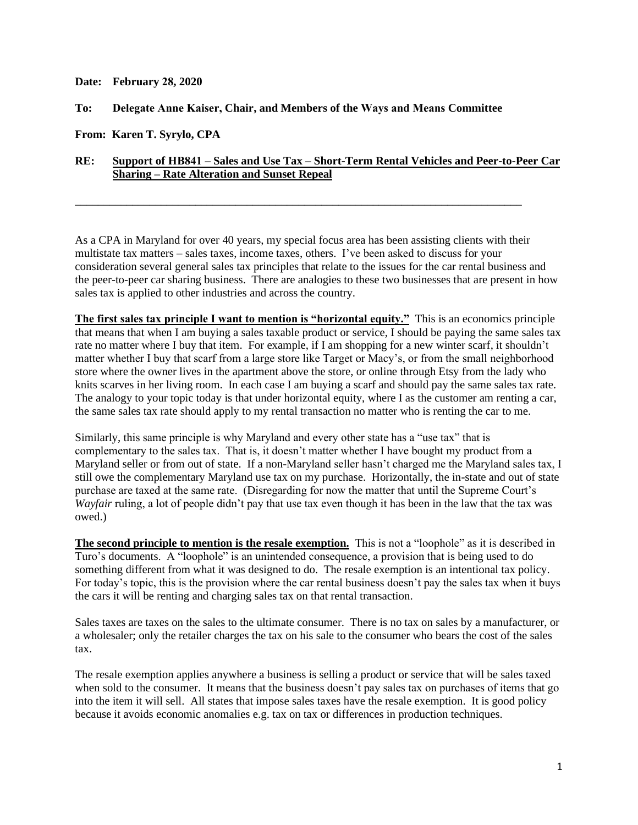**Date: February 28, 2020**

## **To: Delegate Anne Kaiser, Chair, and Members of the Ways and Means Committee**

**From: Karen T. Syrylo, CPA**

## **RE: Support of HB841 – Sales and Use Tax – Short-Term Rental Vehicles and Peer-to-Peer Car Sharing – Rate Alteration and Sunset Repeal**

\_\_\_\_\_\_\_\_\_\_\_\_\_\_\_\_\_\_\_\_\_\_\_\_\_\_\_\_\_\_\_\_\_\_\_\_\_\_\_\_\_\_\_\_\_\_\_\_\_\_\_\_\_\_\_\_\_\_\_\_\_\_\_\_\_\_\_\_\_\_\_\_\_\_\_\_\_\_

As a CPA in Maryland for over 40 years, my special focus area has been assisting clients with their multistate tax matters – sales taxes, income taxes, others. I've been asked to discuss for your consideration several general sales tax principles that relate to the issues for the car rental business and the peer-to-peer car sharing business. There are analogies to these two businesses that are present in how sales tax is applied to other industries and across the country.

**The first sales tax principle I want to mention is "horizontal equity."** This is an economics principle that means that when I am buying a sales taxable product or service, I should be paying the same sales tax rate no matter where I buy that item. For example, if I am shopping for a new winter scarf, it shouldn't matter whether I buy that scarf from a large store like Target or Macy's, or from the small neighborhood store where the owner lives in the apartment above the store, or online through Etsy from the lady who knits scarves in her living room. In each case I am buying a scarf and should pay the same sales tax rate. The analogy to your topic today is that under horizontal equity, where I as the customer am renting a car, the same sales tax rate should apply to my rental transaction no matter who is renting the car to me.

Similarly, this same principle is why Maryland and every other state has a "use tax" that is complementary to the sales tax. That is, it doesn't matter whether I have bought my product from a Maryland seller or from out of state. If a non-Maryland seller hasn't charged me the Maryland sales tax, I still owe the complementary Maryland use tax on my purchase. Horizontally, the in-state and out of state purchase are taxed at the same rate. (Disregarding for now the matter that until the Supreme Court's *Wayfair* ruling, a lot of people didn't pay that use tax even though it has been in the law that the tax was owed.)

**The second principle to mention is the resale exemption.** This is not a "loophole" as it is described in Turo's documents. A "loophole" is an unintended consequence, a provision that is being used to do something different from what it was designed to do. The resale exemption is an intentional tax policy. For today's topic, this is the provision where the car rental business doesn't pay the sales tax when it buys the cars it will be renting and charging sales tax on that rental transaction.

Sales taxes are taxes on the sales to the ultimate consumer. There is no tax on sales by a manufacturer, or a wholesaler; only the retailer charges the tax on his sale to the consumer who bears the cost of the sales tax.

The resale exemption applies anywhere a business is selling a product or service that will be sales taxed when sold to the consumer. It means that the business doesn't pay sales tax on purchases of items that go into the item it will sell. All states that impose sales taxes have the resale exemption. It is good policy because it avoids economic anomalies e.g. tax on tax or differences in production techniques.